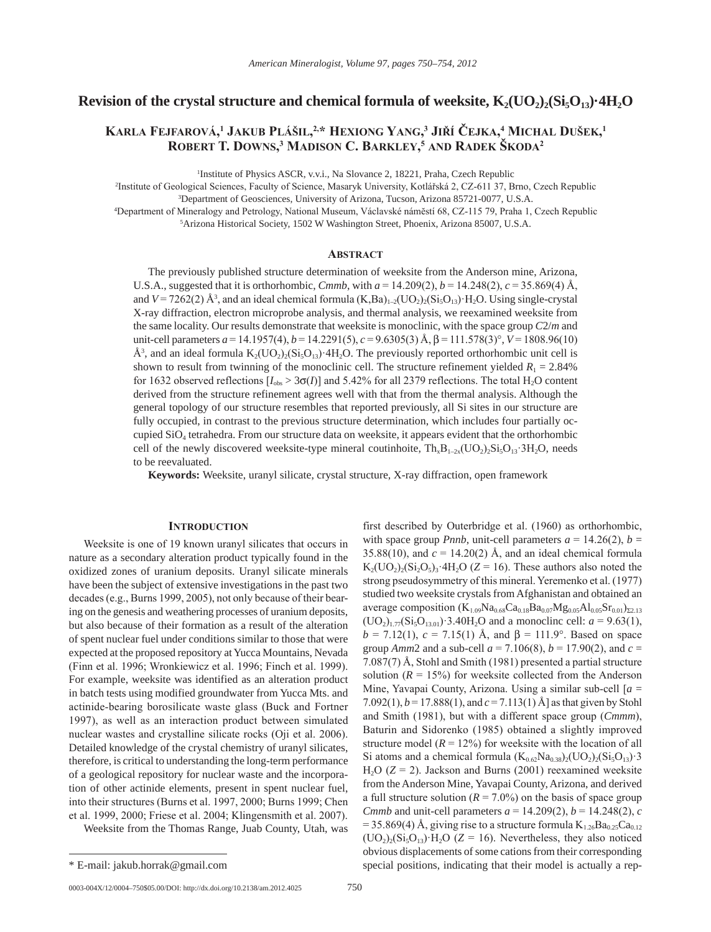# **Revision of the crystal structure and chemical formula of weeksite,**  $K_2(UO_2)_2(Si_5O_{13})$  $4H_2O$

# $K$ arla Fejfarová,<sup>1</sup> Jakub Plášil, $^{2,*}$  Hexiong Yang, $^3$  Jiří Čejka, $^4$  Michal Dušek, $^1$ **robert t. Downs, 3 MaDison c. barKleY, <sup>5</sup> anD raDeK šKoDa2**

<sup>1</sup>Institute of Physics ASCR, v.v.i., Na Slovance 2, 18221, Praha, Czech Republic

2 Institute of Geological Sciences, Faculty of Science, Masaryk University, Kotlářská 2, CZ-611 37, Brno, Czech Republic 3 Department of Geosciences, University of Arizona, Tucson, Arizona 85721-0077, U.S.A.

4 Department of Mineralogy and Petrology, National Museum, Václavské námĕstí 68, CZ-115 79, Praha 1, Czech Republic 5 Arizona Historical Society, 1502 W Washington Street, Phoenix, Arizona 85007, U.S.A.

# **ABSTRACT**

The previously published structure determination of weeksite from the Anderson mine, Arizona, U.S.A., suggested that it is orthorhombic, *Cmmb*, with  $a = 14.209(2)$ ,  $b = 14.248(2)$ ,  $c = 35.869(4)$  Å, and  $V = 7262(2)$  Å<sup>3</sup>, and an ideal chemical formula  $(K, Ba)_{1-2}(UO_2)_2(Si_5O_{13})$  H<sub>2</sub>O. Using single-crystal X-ray diffraction, electron microprobe analysis, and thermal analysis, we reexamined weeksite from the same locality. Our results demonstrate that weeksite is monoclinic, with the space group *C*2/*m* and unit-cell parameters  $a = 14.1957(4)$ ,  $b = 14.2291(5)$ ,  $c = 9.6305(3)$  Å,  $\beta = 111.578(3)$ °,  $V = 1808.96(10)$ Å<sup>3</sup>, and an ideal formula  $K_2(UO_2)_2(Si_3O_{13})$  <sup>4</sup>H<sub>2</sub>O. The previously reported orthorhombic unit cell is shown to result from twinning of the monoclinic cell. The structure refinement yielded  $R_1 = 2.84\%$ for 1632 observed reflections  $[I_{obs} > 3\sigma(I)]$  and 5.42% for all 2379 reflections. The total H<sub>2</sub>O content derived from the structure refinement agrees well with that from the thermal analysis. Although the general topology of our structure resembles that reported previously, all Si sites in our structure are fully occupied, in contrast to the previous structure determination, which includes four partially occupied SiO4 tetrahedra. From our structure data on weeksite, it appears evident that the orthorhombic cell of the newly discovered weeksite-type mineral coutinhoite,  $Th_xB_{1-2x}(UO_2)_{2}Si_5O_{13} \cdot 3H_2O$ , needs to be reevaluated.

**Keywords:** Weeksite, uranyl silicate, crystal structure, X-ray diffraction, open framework

### **introDuction**

Weeksite is one of 19 known uranyl silicates that occurs in nature as a secondary alteration product typically found in the oxidized zones of uranium deposits. Uranyl silicate minerals have been the subject of extensive investigations in the past two decades (e.g., Burns 1999, 2005), not only because of their bearing on the genesis and weathering processes of uranium deposits, but also because of their formation as a result of the alteration of spent nuclear fuel under conditions similar to those that were expected at the proposed repository at Yucca Mountains, Nevada (Finn et al. 1996; Wronkiewicz et al. 1996; Finch et al. 1999). For example, weeksite was identified as an alteration product in batch tests using modified groundwater from Yucca Mts. and actinide-bearing borosilicate waste glass (Buck and Fortner 1997), as well as an interaction product between simulated nuclear wastes and crystalline silicate rocks (Oji et al. 2006). Detailed knowledge of the crystal chemistry of uranyl silicates, therefore, is critical to understanding the long-term performance of a geological repository for nuclear waste and the incorporation of other actinide elements, present in spent nuclear fuel, into their structures (Burns et al. 1997, 2000; Burns 1999; Chen et al. 1999, 2000; Friese et al. 2004; Klingensmith et al. 2007).

Weeksite from the Thomas Range, Juab County, Utah, was

0003-004X/12/0004–750\$05.00/DOI: http://dx.doi.org/10.2138/am.2012.4025 750

first described by Outerbridge et al. (1960) as orthorhombic, with space group *Pnnb*, unit-cell parameters  $a = 14.26(2)$ ,  $b =$ 35.88(10), and  $c = 14.20(2)$  Å, and an ideal chemical formula  $K_2({\rm UO}_2)_2({\rm Si}_2{\rm O}_5)_3$  4H<sub>2</sub>O (*Z* = 16). These authors also noted the strong pseudosymmetry of this mineral. Yeremenko et al. (1977) studied two weeksite crystals from Afghanistan and obtained an average composition  $(K_{1.09}Na_{0.68}Ca_{0.18}Ba_{0.07}Mg_{0.05}Al_{0.05}Sr_{0.01})_{\Sigma2.13}$  $(UO<sub>2</sub>)<sub>1.77</sub>(Si<sub>5</sub>O<sub>13.01</sub>)·3.40H<sub>2</sub>O$  and a monoclinc cell:  $a = 9.63(1)$ ,  $b = 7.12(1)$ ,  $c = 7.15(1)$  Å, and  $\beta = 111.9^{\circ}$ . Based on space group *Amm*2 and a sub-cell  $a = 7.106(8)$ ,  $b = 17.90(2)$ , and  $c =$ 7.087(7) Å, Stohl and Smith (1981) presented a partial structure solution  $(R = 15\%)$  for weeksite collected from the Anderson Mine, Yavapai County, Arizona. Using a similar sub-cell [*a* = 7.092(1), *b* = 17.888(1), and *c* = 7.113(1) Å] as that given by Stohl and Smith (1981), but with a different space group (*Cmmm*), Baturin and Sidorenko (1985) obtained a slightly improved structure model  $(R = 12\%)$  for weeksite with the location of all Si atoms and a chemical formula  $(K_{0.62}Na_{0.38})_2({\rm UO}_2)_2({\rm Si}_5{\rm O}_{13})$  3 H<sub>2</sub>O  $(Z = 2)$ . Jackson and Burns (2001) reexamined weeksite from the Anderson Mine, Yavapai County, Arizona, and derived a full structure solution  $(R = 7.0\%)$  on the basis of space group *Cmmb* and unit-cell parameters  $a = 14.209(2)$ ,  $b = 14.248(2)$ , *c* = 35.869(4) Å, giving rise to a structure formula  $K_{1,26}Ba_{0,25}Ca_{0,12}$  $(UO<sub>2</sub>)<sub>2</sub>(Si<sub>5</sub>O<sub>13</sub>) H<sub>2</sub>O (Z = 16)$ . Nevertheless, they also noticed obvious displacements of some cations from their corresponding \* E-mail: jakub.horrak@gmail.com special positions, indicating that their model is actually a rep-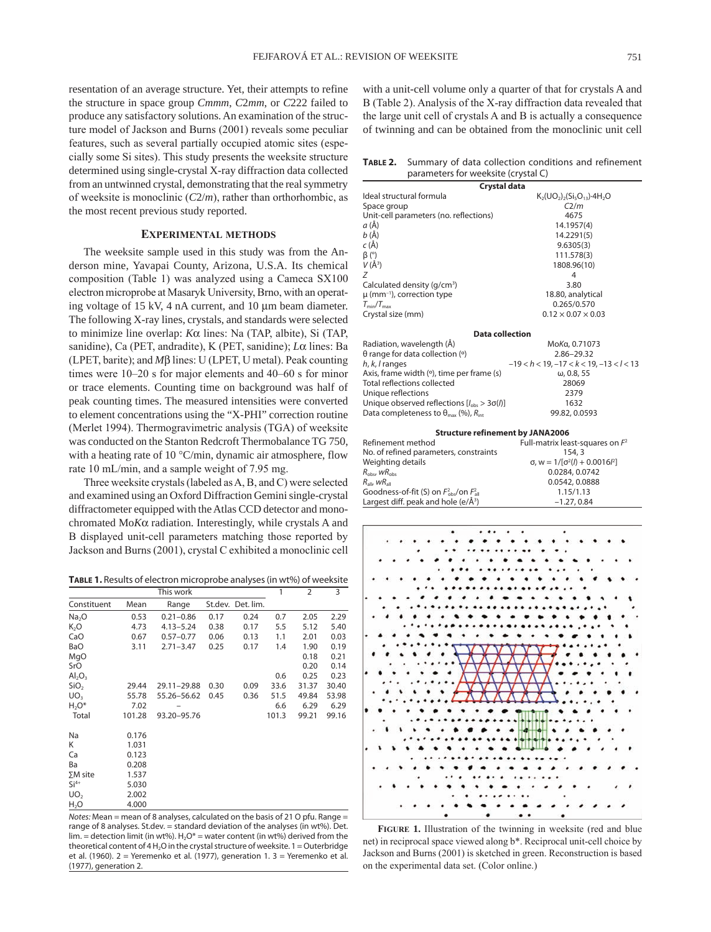resentation of an average structure. Yet, their attempts to refine the structure in space group *Cmmm*, *C*2*mm*, or *C*222 failed to produce any satisfactory solutions. An examination of the structure model of Jackson and Burns (2001) reveals some peculiar features, such as several partially occupied atomic sites (especially some Si sites). This study presents the weeksite structure determined using single-crystal X-ray diffraction data collected from an untwinned crystal, demonstrating that the real symmetry of weeksite is monoclinic (*C*2/*m*), rather than orthorhombic, as the most recent previous study reported.

# **exPeriMental MetHoDs**

The weeksite sample used in this study was from the Anderson mine, Yavapai County, Arizona, U.S.A. Its chemical composition (Table 1) was analyzed using a Cameca SX100 electron microprobe at Masaryk University, Brno, with an operating voltage of 15 kV, 4 nA current, and 10  $\mu$ m beam diameter. The following X-ray lines, crystals, and standards were selected to minimize line overlap: *K*a lines: Na (TAP, albite), Si (TAP, sanidine), Ca (PET, andradite), K (PET, sanidine); *L*a lines: Ba (LPET, barite); and  $M\beta$  lines: U (LPET, U metal). Peak counting times were 10–20 s for major elements and 40–60 s for minor or trace elements. Counting time on background was half of peak counting times. The measured intensities were converted to element concentrations using the "X-PHI" correction routine (Merlet 1994). Thermogravimetric analysis (TGA) of weeksite was conducted on the Stanton Redcroft Thermobalance TG 750, with a heating rate of 10 °C/min, dynamic air atmosphere, flow rate 10 mL/min, and a sample weight of 7.95 mg.

Three weeksite crystals (labeled as A, B, and C) were selected and examined using an Oxford Diffraction Gemini single-crystal diffractometer equipped with the Atlas CCD detector and monochromated Mo*K*a radiation. Interestingly, while crystals A and B displayed unit-cell parameters matching those reported by Jackson and Burns (2001), crystal C exhibited a monoclinic cell

**Table 1.** Results of electron microprobe analyses (in wt%) of weeksite

|                   |        | This work     |      |                   | 1     | 2     | 3     |
|-------------------|--------|---------------|------|-------------------|-------|-------|-------|
| Constituent       | Mean   | Range         |      | St.dev. Det. lim. |       |       |       |
| Na <sub>2</sub> O | 0.53   | $0.21 - 0.86$ | 0.17 | 0.24              | 0.7   | 2.05  | 2.29  |
| K <sub>2</sub> O  | 4.73   | $4.13 - 5.24$ | 0.38 | 0.17              | 5.5   | 5.12  | 5.40  |
| CaO               | 0.67   | $0.57 - 0.77$ | 0.06 | 0.13              | 1.1   | 2.01  | 0.03  |
| BaO               | 3.11   | $2.71 - 3.47$ | 0.25 | 0.17              | 1.4   | 1.90  | 0.19  |
| MgO               |        |               |      |                   |       | 0.18  | 0.21  |
| SrO               |        |               |      |                   |       | 0.20  | 0.14  |
| $Al_2O_3$         |        |               |      |                   | 0.6   | 0.25  | 0.23  |
| SiO <sub>2</sub>  | 29.44  | 29.11-29.88   | 0.30 | 0.09              | 33.6  | 31.37 | 30.40 |
| UO <sub>3</sub>   | 55.78  | 55.26-56.62   | 0.45 | 0.36              | 51.5  | 49.84 | 53.98 |
| $H2O*$            | 7.02   |               |      |                   | 6.6   | 6.29  | 6.29  |
| Total             | 101.28 | 93.20-95.76   |      |                   | 101.3 | 99.21 | 99.16 |
| Na                | 0.176  |               |      |                   |       |       |       |
| K                 | 1.031  |               |      |                   |       |       |       |
| Ca                | 0.123  |               |      |                   |       |       |       |
| Ba                | 0.208  |               |      |                   |       |       |       |
| $\Sigma M$ site   | 1.537  |               |      |                   |       |       |       |
| $Si4+$            | 5.030  |               |      |                   |       |       |       |
| UO <sub>2</sub>   | 2.002  |               |      |                   |       |       |       |
| H <sub>2</sub> O  | 4.000  |               |      |                   |       |       |       |

*Notes:* Mean = mean of 8 analyses, calculated on the basis of 21 O pfu. Range = range of 8 analyses. St.dev. = standard deviation of the analyses (in wt%). Det.  $\lim$  = detection limit (in wt%). H<sub>2</sub>O\* = water content (in wt%) derived from the theoretical content of  $4$  H $\cdot$ O in the crystal structure of weeksite.  $1 =$  Outerbridge et al. (1960). 2 = Yeremenko et al. (1977), generation 1. 3 = Yeremenko et al. (1977), generation 2.

with a unit-cell volume only a quarter of that for crystals A and B (Table 2). Analysis of the X-ray diffraction data revealed that the large unit cell of crystals A and B is actually a consequence of twinning and can be obtained from the monoclinic unit cell

**Table 2.** Summary of data collection conditions and refinement parameters for weeksite (crystal C)

| Crystal data                                                     |                                                            |  |  |  |  |  |  |  |  |
|------------------------------------------------------------------|------------------------------------------------------------|--|--|--|--|--|--|--|--|
| Ideal structural formula                                         | $K_2(UO_2)$ <sub>2</sub> $(Si_5O_{13})$ -4H <sub>2</sub> O |  |  |  |  |  |  |  |  |
| Space group                                                      | C2/m                                                       |  |  |  |  |  |  |  |  |
| Unit-cell parameters (no. reflections)                           | 4675                                                       |  |  |  |  |  |  |  |  |
| a (Å)                                                            | 14.1957(4)                                                 |  |  |  |  |  |  |  |  |
| $b(\AA)$                                                         | 14.2291(5)                                                 |  |  |  |  |  |  |  |  |
| c(A)                                                             | 9.6305(3)                                                  |  |  |  |  |  |  |  |  |
| $\beta$ (°)                                                      | 111.578(3)                                                 |  |  |  |  |  |  |  |  |
| $V(\AA^3)$                                                       | 1808.96(10)                                                |  |  |  |  |  |  |  |  |
| Ζ                                                                | 4                                                          |  |  |  |  |  |  |  |  |
| Calculated density (g/cm <sup>3</sup> )                          | 3.80                                                       |  |  |  |  |  |  |  |  |
| $\mu$ (mm <sup>-1</sup> ), correction type                       | 18.80, analytical                                          |  |  |  |  |  |  |  |  |
| $T_{\text{min}}/T_{\text{max}}$                                  | 0.265/0.570                                                |  |  |  |  |  |  |  |  |
| Crystal size (mm)                                                | $0.12 \times 0.07 \times 0.03$                             |  |  |  |  |  |  |  |  |
| <b>Data collection</b>                                           |                                                            |  |  |  |  |  |  |  |  |
| Radiation, wavelength (Å)                                        | MoKa, 0.71073                                              |  |  |  |  |  |  |  |  |
| $\theta$ range for data collection (°)                           | 2.86-29.32                                                 |  |  |  |  |  |  |  |  |
| $h, k, l$ ranges                                                 | $-19 < h < 19$ , $-17 < k < 19$ , $-13 < l < 13$           |  |  |  |  |  |  |  |  |
| Axis, frame width (°), time per frame (s)                        | $\omega$ , 0.8, 55                                         |  |  |  |  |  |  |  |  |
| Total reflections collected                                      | 28069                                                      |  |  |  |  |  |  |  |  |
| Unique reflections                                               | 2379                                                       |  |  |  |  |  |  |  |  |
| Unique observed reflections $[I_{obs} > 3\sigma(l)]$             | 1632                                                       |  |  |  |  |  |  |  |  |
| Data completeness to $\theta_{\text{max}}$ (%), $R_{\text{int}}$ | 99.82, 0.0593                                              |  |  |  |  |  |  |  |  |
| <b>Structure refinement by JANA2006</b>                          |                                                            |  |  |  |  |  |  |  |  |
| Refinement method                                                | Full-matrix least-squares on $F^2$                         |  |  |  |  |  |  |  |  |
| No. of refined parameters, constraints                           | 154.3                                                      |  |  |  |  |  |  |  |  |
| Weighting details                                                | $\sigma$ , w = $1/[\sigma^2(l) + 0.0016l^2]$               |  |  |  |  |  |  |  |  |

| $R_{\text{all}}$ , w $R_{\text{all}}$<br>Goodness-of-fit (S) on $F_{obs}^2$ /on $F_{all}^2$ |  |  |  |  |  |  | 0.0542, 0.0888 |  |  |  |  |  |  |  |  |  |  |  |  |  |  |  |  |  |
|---------------------------------------------------------------------------------------------|--|--|--|--|--|--|----------------|--|--|--|--|--|--|--|--|--|--|--|--|--|--|--|--|--|
|                                                                                             |  |  |  |  |  |  | 1.15/1.13      |  |  |  |  |  |  |  |  |  |  |  |  |  |  |  |  |  |
| Largest diff. peak and hole (e/Å <sup>3</sup> )                                             |  |  |  |  |  |  | $-1.27, 0.84$  |  |  |  |  |  |  |  |  |  |  |  |  |  |  |  |  |  |
|                                                                                             |  |  |  |  |  |  |                |  |  |  |  |  |  |  |  |  |  |  |  |  |  |  |  |  |
|                                                                                             |  |  |  |  |  |  |                |  |  |  |  |  |  |  |  |  |  |  |  |  |  |  |  |  |
|                                                                                             |  |  |  |  |  |  |                |  |  |  |  |  |  |  |  |  |  |  |  |  |  |  |  |  |
|                                                                                             |  |  |  |  |  |  |                |  |  |  |  |  |  |  |  |  |  |  |  |  |  |  |  |  |
|                                                                                             |  |  |  |  |  |  |                |  |  |  |  |  |  |  |  |  |  |  |  |  |  |  |  |  |
|                                                                                             |  |  |  |  |  |  |                |  |  |  |  |  |  |  |  |  |  |  |  |  |  |  |  |  |
|                                                                                             |  |  |  |  |  |  |                |  |  |  |  |  |  |  |  |  |  |  |  |  |  |  |  |  |
|                                                                                             |  |  |  |  |  |  |                |  |  |  |  |  |  |  |  |  |  |  |  |  |  |  |  |  |
|                                                                                             |  |  |  |  |  |  |                |  |  |  |  |  |  |  |  |  |  |  |  |  |  |  |  |  |
|                                                                                             |  |  |  |  |  |  |                |  |  |  |  |  |  |  |  |  |  |  |  |  |  |  |  |  |
|                                                                                             |  |  |  |  |  |  |                |  |  |  |  |  |  |  |  |  |  |  |  |  |  |  |  |  |
|                                                                                             |  |  |  |  |  |  |                |  |  |  |  |  |  |  |  |  |  |  |  |  |  |  |  |  |

 $R_{\text{obs}}$  *wR*<sub>obs</sub> 0.0284, 0.0742



**Figure 1.** Illustration of the twinning in weeksite (red and blue net) in reciprocal space viewed along b\*. Reciprocal unit-cell choice by Jackson and Burns (2001) is sketched in green. Reconstruction is based on the experimental data set. (Color online.)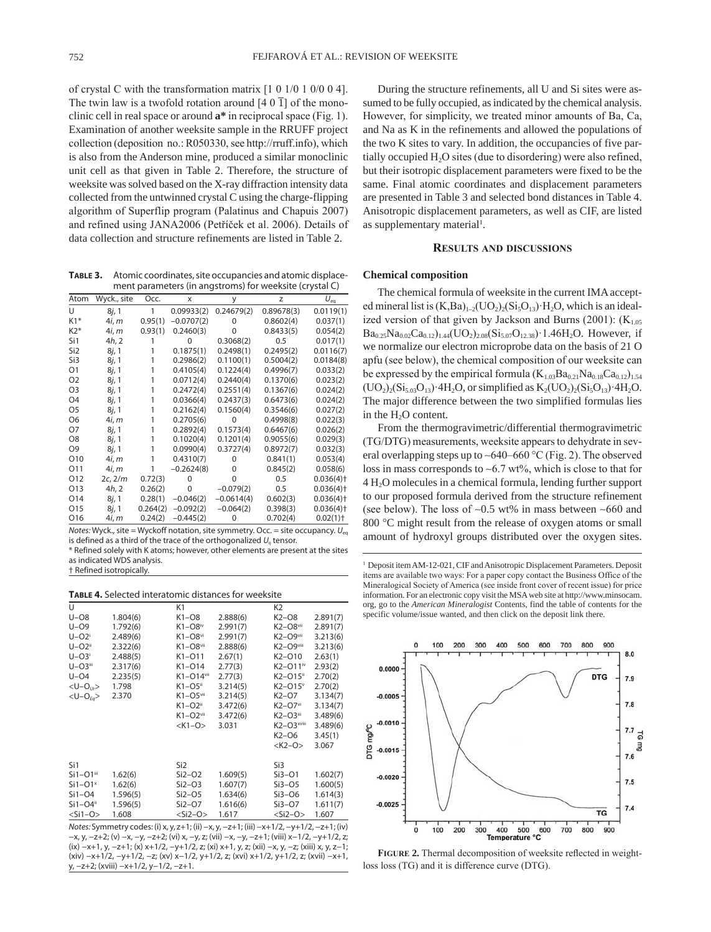of crystal C with the transformation matrix [1 0 1/0 1 0/0 0 4]. The twin law is a twofold rotation around  $[4 \ 0 \ 1]$  of the monoclinic cell in real space or around **a\*** in reciprocal space (Fig. 1). Examination of another weeksite sample in the RRUFF project collection (deposition no.: R050330, see http://rruff.info), which is also from the Anderson mine, produced a similar monoclinic unit cell as that given in Table 2. Therefore, the structure of weeksite was solved based on the X-ray diffraction intensity data collected from the untwinned crystal C using the charge-flipping algorithm of Superflip program (Palatinus and Chapuis 2007) and refined using JANA2006 (Petříček et al. 2006). Details of data collection and structure refinements are listed in Table 2.

**Table 3.** Atomic coordinates, site occupancies and atomic displacement parameters (in angstroms) for weeksite (crystal C)

| Atom            | Wyck., site    | Occ.     | x            | У            | z          | $U_{\rm ea}$            |
|-----------------|----------------|----------|--------------|--------------|------------|-------------------------|
| U               | 8j, 1          | 1        | 0.09933(2)   | 0.24679(2)   | 0.89678(3) | 0.0119(1)               |
| $K1*$           | 4 <i>i</i> . m | 0.95(1)  | $-0.0707(2)$ | O            | 0.8602(4)  | 0.037(1)                |
| $K2*$           | 4i, m          | 0.93(1)  | 0.2460(3)    | 0            | 0.8433(5)  | 0.054(2)                |
| Si1             | 4h, 2          |          | $\Omega$     | 0.3068(2)    | 0.5        | 0.017(1)                |
| Si <sub>2</sub> | 8j, 1          |          | 0.1875(1)    | 0.2498(1)    | 0.2495(2)  | 0.0116(7)               |
| Si3             | 8j, 1          |          | 0.2986(2)    | 0.1100(1)    | 0.5004(2)  | 0.0184(8)               |
| O1              | 8j, 1          |          | 0.4105(4)    | 0.1224(4)    | 0.4996(7)  | 0.033(2)                |
| O <sub>2</sub>  | 8j, 1          |          | 0.0712(4)    | 0.2440(4)    | 0.1370(6)  | 0.023(2)                |
| O <sub>3</sub>  | 8j, 1          |          | 0.2472(4)    | 0.2551(4)    | 0.1367(6)  | 0.024(2)                |
| O <sub>4</sub>  | 8j, 1          |          | 0.0366(4)    | 0.2437(3)    | 0.6473(6)  | 0.024(2)                |
| O <sub>5</sub>  | 8j, 1          |          | 0.2162(4)    | 0.1560(4)    | 0.3546(6)  | 0.027(2)                |
| O <sub>6</sub>  | 4i, m          |          | 0.2705(6)    | $\Omega$     | 0.4998(8)  | 0.022(3)                |
| O7              | 8j, 1          |          | 0.2892(4)    | 0.1573(4)    | 0.6467(6)  | 0.026(2)                |
| O <sub>8</sub>  | 8j, 1          |          | 0.1020(4)    | 0.1201(4)    | 0.9055(6)  | 0.029(3)                |
| O <sub>9</sub>  | 8j, 1          |          | 0.0990(4)    | 0.3727(4)    | 0.8972(7)  | 0.032(3)                |
| O10             | 4i, m          |          | 0.4310(7)    | O            | 0.841(1)   | 0.053(4)                |
| 011             | 4i, m          |          | $-0.2624(8)$ | 0            | 0.845(2)   | 0.058(6)                |
| O12             | 2c, 2/m        | 0.72(3)  | U            | ი            | 0.5        | $0.036(4)$ <sup>+</sup> |
| O13             | 4h, 2          | 0.26(2)  | O            | $-0.079(2)$  | 0.5        | $0.036(4)$ <sup>+</sup> |
| O14             | 8j, 1          | 0.28(1)  | $-0.046(2)$  | $-0.0614(4)$ | 0.602(3)   | $0.036(4)$ <sup>+</sup> |
| O <sub>15</sub> | 8j, 1          | 0.264(2) | $-0.092(2)$  | $-0.064(2)$  | 0.398(3)   | $0.036(4)$ <sup>+</sup> |
| O16             | 4i, m          | 0.24(2)  | $-0.445(2)$  | $\Omega$     | 0.702(4)   | $0.02(1)$ <sup>+</sup>  |

*Notes:* Wyck., site = Wyckoff notation, site symmetry. Occ. = site occupancy.  $U_{eq}$ is defined as a third of the trace of the orthogonalized  $U_{ii}$  tensor.

\* Refined solely with K atoms; however, other elements are present at the sites as indicated WDS analysis.

#### **Table 4.** Selected interatomic distances for weeksite

| U                         |          | K1                       |          | K <sub>2</sub>           |          |
|---------------------------|----------|--------------------------|----------|--------------------------|----------|
| $U - O8$                  | 1.804(6) | K1-08                    | 2.888(6) | $K2-08$                  | 2.891(7) |
| $U - O9$                  | 1.792(6) | $K1 - O8$ iv             | 2.991(7) | $K2 - O8$ <sup>vii</sup> | 2.891(7) |
| $U - O2$                  | 2.489(6) | $K1 - O8$ <sup>vi</sup>  | 2.991(7) | K2-O9vii                 | 3.213(6) |
| $U - O2$ <sup>ii</sup>    | 2.322(6) | K1-O8vii                 | 2.888(6) | K2-O9viii                | 3.213(6) |
| $U - O3$ <sup>i</sup>     | 2.488(5) | $K1 - O11$               | 2.67(1)  | K2-010                   | 2.63(1)  |
| $U - O3$ iii              | 2.317(6) | $K1 - O14$               | 2.77(3)  | K2-011 <sup>iv</sup>     | 2.93(2)  |
| $U - O4$                  | 2.235(5) | K1-014vii                | 2.77(3)  | K2-015ii                 | 2.70(2)  |
| $< U - O_{Ur}$            | 1.798    | $K1 - O5$ <sup>ii</sup>  | 3.214(5) | $K2 - O15$ <sup>v</sup>  | 2.70(2)  |
| $< U - O_{Eq}$            | 2.370    | $K1 - O5$ <sup>vii</sup> | 3.214(5) | $K2-O7$                  | 3.134(7) |
|                           |          | $K1 - O2$ <sup>ii</sup>  | 3.472(6) | $K2-O7vi$                | 3.134(7) |
|                           |          | $K1 - O2$ <sup>vii</sup> | 3.472(6) | K2-O3iii                 | 3.489(6) |
|                           |          | $<$ K1-O>                | 3.031    | K2-O3xviii               | 3.489(6) |
|                           |          |                          |          | $K2-06$                  | 3.45(1)  |
|                           |          |                          |          | $<$ K2-O>                | 3.067    |
| Si1                       |          | Si <sub>2</sub>          |          | Si3                      |          |
| $Si1 - O1$ <sup>iii</sup> | 1.62(6)  | $Si2-O2$                 | 1.609(5) | $Si3-O1$                 | 1.602(7) |
| $Si1-O1x$                 | 1.62(6)  | $Si2-O3$                 | 1.607(7) | $Si3-O5$                 | 1.600(5) |
| $Si1 - O4$                | 1.596(5) | $Si2-O5$                 | 1.634(6) | $Si3-O6$                 | 1.614(3) |
| $Si1 - O4$ <sup>ii</sup>  | 1.596(5) | $Si2-O7$                 | 1.616(6) | $Si3-O7$                 | 1.611(7) |
| $<$ Si1-O>                | 1.608    | $<$ Si2-O>               | 1.617    | $<$ Si2-O>               | 1.607    |
|                           |          |                          |          |                          |          |

*Notes:* Symmetry codes: (i) x, y, z+1; (ii) −x, y, −z+1; (iii) −x+1/2, −y+1/2, −z+1; (iv) −x, y, −z+2; (v) −x, −y, −z+2; (vi) x, −y, z; (vii) −x, −y, −z+1; (viii) x−1/2, −y+1/2, z; (ix) −x+1, y, −z+1; (x) x+1/2, −y+1/2, z; (xi) x+1, y, z; (xii) −x, y, −z; (xiii) x, y, z−1; (xiv) −x+1/2, −y+1/2, −z; (xv) x−1/2, y+1/2, z; (xvi) x+1/2, y+1/2, z; (xvii) −x+1, y, −z+2; (xviii) −x+1/2, y−1/2, −z+1.

During the structure refinements, all U and Si sites were assumed to be fully occupied, as indicated by the chemical analysis. However, for simplicity, we treated minor amounts of Ba, Ca, and Na as K in the refinements and allowed the populations of the two K sites to vary. In addition, the occupancies of five partially occupied  $H_2O$  sites (due to disordering) were also refined, but their isotropic displacement parameters were fixed to be the same. Final atomic coordinates and displacement parameters are presented in Table 3 and selected bond distances in Table 4. Anisotropic displacement parameters, as well as CIF, are listed as supplementary material<sup>1</sup>.

### **results anD Discussions**

#### **Chemical composition**

The chemical formula of weeksite in the current IMA accepted mineral list is  $(K,Ba)_{1-2}(UO_2)_2(Si_5O_{13})$  H<sub>2</sub>O, which is an idealized version of that given by Jackson and Burns (2001):  $(K_{1.05})$  $Ba_{0.25}Na_{0.02}Ca_{0.12}$ )<sub>1.44</sub>(UO<sub>2</sub>)<sub>2.08</sub>(Si<sub>5.07</sub>O<sub>12.38</sub>)·1.46H<sub>2</sub>O. However, if we normalize our electron microprobe data on the basis of 21 O apfu (see below), the chemical composition of our weeksite can be expressed by the empirical formula  $(K_{1,03}Ba_{0.21}Na_{0.18}Ca_{0.12})_{1.54}$  $(UO<sub>2</sub>)<sub>2</sub>(Si<sub>5.03</sub>O<sub>13</sub>)$ <sup>-</sup>4H<sub>2</sub>O, or simplified as  $K_2(UO<sub>2</sub>)<sub>2</sub>(Si<sub>5</sub>O<sub>13</sub>)$ <sup>-</sup>4H<sub>2</sub>O. The major difference between the two simplified formulas lies in the  $H_2O$  content.

From the thermogravimetric/differential thermogravimetric (TG/DTG) measurements, weeksite appears to dehydrate in several overlapping steps up to  $\sim 640-660 \degree C$  (Fig. 2). The observed loss in mass corresponds to  $\sim 6.7$  wt%, which is close to that for 4 H2O molecules in a chemical formula, lending further support to our proposed formula derived from the structure refinement (see below). The loss of ~0.5 wt% in mass between ~660 and 800 °C might result from the release of oxygen atoms or small amount of hydroxyl groups distributed over the oxygen sites.

<sup>1</sup> Deposit item AM-12-021, CIF and Anisotropic Displacement Parameters. Deposit items are available two ways: For a paper copy contact the Business Office of the Mineralogical Society of America (see inside front cover of recent issue) for price information. For an electronic copy visit the MSA web site at http://www.minsocam. org, go to the *American Mineralogist* Contents, find the table of contents for the specific volume/issue wanted, and then click on the deposit link there.



**Figure 2.** Thermal decomposition of weeksite reflected in weightloss loss (TG) and it is difference curve (DTG).

<sup>†</sup> Refined isotropically.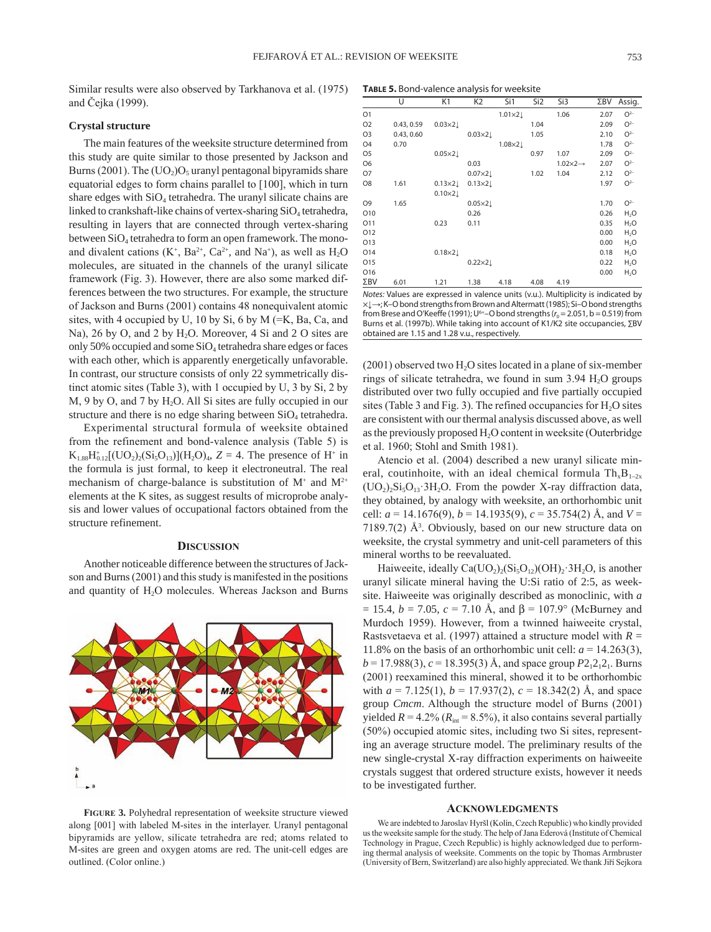Similar results were also observed by Tarkhanova et al. (1975) and Čejka (1999).

# **Crystal structure**

The main features of the weeksite structure determined from this study are quite similar to those presented by Jackson and Burns (2001). The  $(UO<sub>2</sub>)O<sub>5</sub>$  uranyl pentagonal bipyramids share equatorial edges to form chains parallel to [100], which in turn share edges with  $SiO<sub>4</sub>$  tetrahedra. The uranyl silicate chains are linked to crankshaft-like chains of vertex-sharing SiO<sub>4</sub> tetrahedra, resulting in layers that are connected through vertex-sharing between  $SiO<sub>4</sub>$  tetrahedra to form an open framework. The monoand divalent cations  $(K^+, Ba^{2+}, Ca^{2+}, and Na^+),$  as well as  $H_2O$ molecules, are situated in the channels of the uranyl silicate framework (Fig. 3). However, there are also some marked differences between the two structures. For example, the structure of Jackson and Burns (2001) contains 48 nonequivalent atomic sites, with 4 occupied by U, 10 by Si, 6 by M (=K, Ba, Ca, and Na), 26 by O, and 2 by H<sub>2</sub>O. Moreover, 4 Si and 2 O sites are only 50% occupied and some  $SiO<sub>4</sub>$  tetrahedra share edges or faces with each other, which is apparently energetically unfavorable. In contrast, our structure consists of only 22 symmetrically distinct atomic sites (Table 3), with 1 occupied by U, 3 by Si, 2 by  $M$ , 9 by O, and 7 by  $H_2O$ . All Si sites are fully occupied in our structure and there is no edge sharing between SiO<sub>4</sub> tetrahedra.

Experimental structural formula of weeksite obtained from the refinement and bond-valence analysis (Table 5) is  $K_{1.88}H_{0.12}^{+}[(UO_2)_2(Si_5O_{13})](H_2O)_4$ ,  $Z = 4$ . The presence of  $H^+$  in the formula is just formal, to keep it electroneutral. The real mechanism of charge-balance is substitution of  $M^+$  and  $M^{2+}$ elements at the K sites, as suggest results of microprobe analysis and lower values of occupational factors obtained from the structure refinement.

#### **Discussion**

Another noticeable difference between the structures of Jackson and Burns (2001) and this study is manifested in the positions and quantity of H<sub>2</sub>O molecules. Whereas Jackson and Burns



**Figure 3.** Polyhedral representation of weeksite structure viewed along [001] with labeled M-sites in the interlayer. Uranyl pentagonal bipyramids are yellow, silicate tetrahedra are red; atoms related to M-sites are green and oxygen atoms are red. The unit-cell edges are outlined. (Color online.)

**Table 5.** Bond-valence analysis for weeksite

|                | U          | K1              | K <sub>2</sub>  | Si1           | Si <sub>2</sub> | Si3                      | ΣBV  | Assig.           |
|----------------|------------|-----------------|-----------------|---------------|-----------------|--------------------------|------|------------------|
| 01             |            |                 |                 | $1.01\times2$ |                 | 1.06                     | 2.07 | $O2-$            |
| O <sub>2</sub> | 0.43, 0.59 | $0.03\times2$   |                 |               | 1.04            |                          | 2.09 | $O2-$            |
| O3             | 0.43, 0.60 |                 | $0.03\times2$   |               | 1.05            |                          | 2.10 | $O2-$            |
| O4             | 0.70       |                 |                 | $1.08\times2$ |                 |                          | 1.78 | $O2-$            |
| O5             |            | $0.05\times2$   |                 |               | 0.97            | 1.07                     | 2.09 | $O2-$            |
| O6             |            |                 | 0.03            |               |                 | $1.02\times2\rightarrow$ | 2.07 | $O2-$            |
| Ο7             |            |                 | $0.07\times2$   |               | 1.02            | 1.04                     | 2.12 | $O2-$            |
| O8             | 1.61       | $0.13 \times 2$ | $0.13 \times 2$ |               |                 |                          | 1.97 | $O2-$            |
|                |            | $0.10\times2$   |                 |               |                 |                          |      |                  |
| O9             | 1.65       |                 | $0.05 \times 2$ |               |                 |                          | 1.70 | $O2-$            |
| 010            |            |                 | 0.26            |               |                 |                          | 0.26 | $H_2O$           |
| 011            |            | 0.23            | 0.11            |               |                 |                          | 0.35 | $H_2O$           |
| 012            |            |                 |                 |               |                 |                          | 0.00 | H <sub>2</sub> O |
| 013            |            |                 |                 |               |                 |                          | 0.00 | H <sub>2</sub> O |
| 014            |            | $0.18 \times 2$ |                 |               |                 |                          | 0.18 | $H_2O$           |
| 015            |            |                 | $0.22 \times 2$ |               |                 |                          | 0.22 | H <sub>2</sub> O |
| 016            |            |                 |                 |               |                 |                          | 0.00 | $H_2O$           |
| ΣBV            | 6.01       | 1.21            | 1.38            | 4.18          | 4.08            | 4.19                     |      |                  |

*Notes:* Values are expressed in valence units (v.u.). Multiplicity is indicated by ×↓→; K–O bond strengths from Brown and Altermatt (1985); Si–O bond strengths from Brese and O'Keeffe (1991);  $U^{6+}$ –O bond strengths ( $r_0$  = 2.051, b = 0.519) from Burns et al. (1997b). While taking into account of K1/K2 site occupancies, ∑BV obtained are 1.15 and 1.28 v.u., respectively.

 $(2001)$  observed two H<sub>2</sub>O sites located in a plane of six-member rings of silicate tetrahedra, we found in sum  $3.94$  H<sub>2</sub>O groups distributed over two fully occupied and five partially occupied sites (Table 3 and Fig. 3). The refined occupancies for  $H_2O$  sites are consistent with our thermal analysis discussed above, as well as the previously proposed H<sub>2</sub>O content in weeksite (Outerbridge et al. 1960; Stohl and Smith 1981).

Atencio et al. (2004) described a new uranyl silicate mineral, coutinhoite, with an ideal chemical formula  $Th_xB_{1-2x}$  $(UO<sub>2</sub>)<sub>2</sub>Si<sub>5</sub>O<sub>13</sub> 3H<sub>2</sub>O$ . From the powder X-ray diffraction data, they obtained, by analogy with weeksite, an orthorhombic unit cell: *a* = 14.1676(9), *b* = 14.1935(9), *c* = 35.754(2) Å, and *V* =  $7189.7(2)$  Å<sup>3</sup>. Obviously, based on our new structure data on weeksite, the crystal symmetry and unit-cell parameters of this mineral worths to be reevaluated.

Haiweeite, ideally  $Ca(UO<sub>2</sub>)<sub>2</sub>(Si<sub>5</sub>O<sub>12</sub>)(OH)<sub>2</sub>·3H<sub>2</sub>O$ , is another uranyl silicate mineral having the U:Si ratio of 2:5, as weeksite. Haiweeite was originally described as monoclinic, with *a*  $= 15.4, b = 7.05, c = 7.10$  Å, and  $\beta = 107.9^{\circ}$  (McBurney and Murdoch 1959). However, from a twinned haiweeite crystal, Rastsvetaeva et al. (1997) attained a structure model with *R* = 11.8% on the basis of an orthorhombic unit cell:  $a = 14.263(3)$ ,  $b = 17.988(3), c = 18.395(3)$  Å, and space group  $P2<sub>1</sub>2<sub>1</sub>2<sub>1</sub>$ . Burns (2001) reexamined this mineral, showed it to be orthorhombic with  $a = 7.125(1)$ ,  $b = 17.937(2)$ ,  $c = 18.342(2)$  Å, and space group *Cmcm*. Although the structure model of Burns (2001) yielded  $R = 4.2\%$  ( $R_{\text{int}} = 8.5\%$ ), it also contains several partially (50%) occupied atomic sites, including two Si sites, representing an average structure model. The preliminary results of the new single-crystal X-ray diffraction experiments on haiweeite crystals suggest that ordered structure exists, however it needs to be investigated further.

#### **acKnowleDgMents**

We are indebted to Jaroslav Hyršl (Kolín, Czech Republic) who kindly provided us the weeksite sample for the study. The help of Jana Ederová (Institute of Chemical Technology in Prague, Czech Republic) is highly acknowledged due to performing thermal analysis of weeksite. Comments on the topic by Thomas Armbruster (University of Bern, Switzerland) are also highly appreciated. We thank Jiří Sejkora